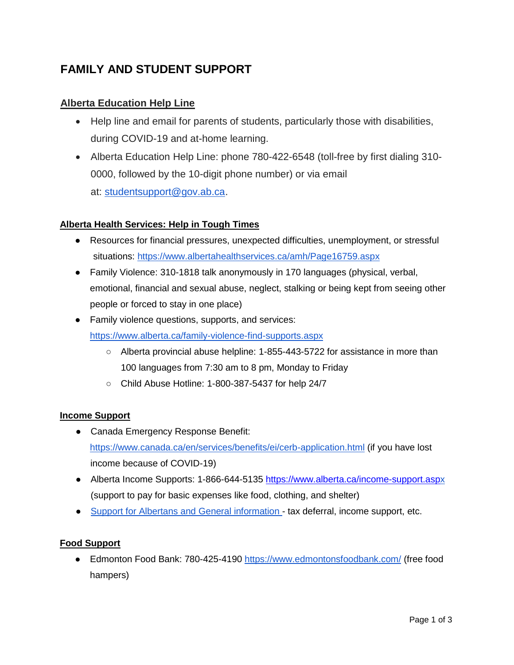# **FAMILY AND STUDENT SUPPORT**

## **Alberta Education Help Line**

- Help line and email for parents of students, particularly those with disabilities, during COVID-19 and at-home learning.
- Alberta Education Help Line: phone 780-422-6548 (toll-free by first dialing 310- 0000, followed by the 10-digit phone number) or via email at: [studentsupport@gov.ab.ca.](mailto:studentsupport@gov.ab.ca)

### **Alberta Health Services: Help in Tough Times**

- Resources for financial pressures, unexpected difficulties, unemployment, or stressful situations:<https://www.albertahealthservices.ca/amh/Page16759.aspx>
- Family Violence: 310-1818 talk anonymously in 170 languages (physical, verbal, emotional, financial and sexual abuse, neglect, stalking or being kept from seeing other people or forced to stay in one place)
- Family violence questions, supports, and services: <https://www.alberta.ca/family-violence-find-supports.aspx>
	- Alberta provincial abuse helpline: 1-855-443-5722 for assistance in more than 100 languages from 7:30 am to 8 pm, Monday to Friday
	- Child Abuse Hotline: 1-800-387-5437 for help 24/7

### **Income Support**

- Canada Emergency Response Benefit: <https://www.canada.ca/en/services/benefits/ei/cerb-application.html> (if you have lost income because of COVID-19)
- Alberta Income Supports: 1-866-644-5135<https://www.alberta.ca/income-support.asp>[x](https://www.alberta.ca/income-support.aspx) (support to pay for basic expenses like food, clothing, and shelter)
- [Support for Albertans and](https://www.alberta.ca/covid-19-supports-for-albertans.aspx?utm_source=bing&utm_medium=cpc&utm_campaign=2020%20COVID-19%20-%20Search%20-%20Play&utm_term=alberta%20health%20services%20covid&utm_content=COVID%20-%20Alberta-Specific) General information [-](https://www.alberta.ca/covid-19-supports-for-albertans.aspx?utm_source=bing&utm_medium=cpc&utm_campaign=2020%20COVID-19%20-%20Search%20-%20Play&utm_term=alberta%20health%20services%20covid&utm_content=COVID%20-%20Alberta-Specific) tax deferral, income support, etc.

### **Food Support**

● Edmonton Food Bank: 780-425-4190<https://www.edmontonsfoodbank.com/> (free food hampers)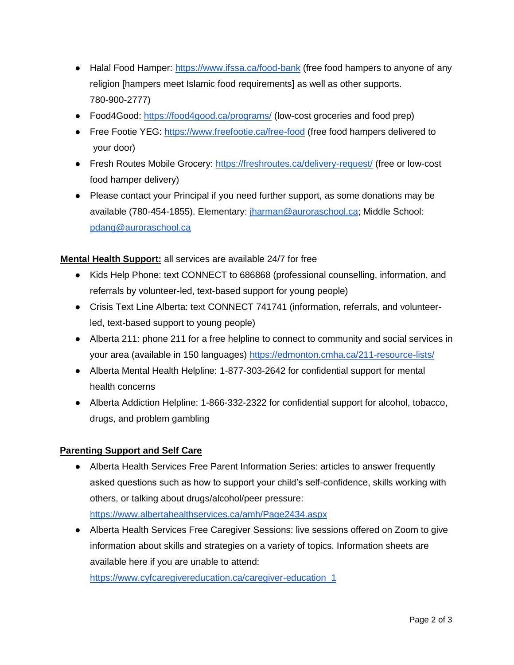- Halal Food Hamper:<https://www.ifssa.ca/food-bank> (free food hampers to anyone of any religion [hampers meet Islamic food requirements] as well as other supports. 780-900-2777)
- Food4Good:<https://food4good.ca/programs/> (low-cost groceries and food prep)
- Free Footie YEG:<https://www.freefootie.ca/free-food> (free food hampers delivered to your door)
- Fresh Routes Mobile Grocery:<https://freshroutes.ca/delivery-request/> (free or low-cost food hamper delivery)
- Please contact your Principal if you need further support, as some donations may be available (780-454-1855). Elementary: *jharman@auroraschool.ca; Middle School:* pdang@auroraschool.ca

### **Mental Health Support:** all services are available 24/7 for free

- Kids Help Phone: text CONNECT to 686868 (professional counselling, information, and referrals by volunteer-led, text-based support for young people)
- Crisis Text Line Alberta: text CONNECT 741741 (information, referrals, and volunteerled, text-based support to young people)
- Alberta 211: phone 211 for a free helpline to connect to community and social services in your area (available in 150 languages) <https://edmonton.cmha.ca/211-resource-lists/>
- Alberta Mental Health Helpline: 1-877-303-2642 for confidential support for mental health concerns
- Alberta Addiction Helpline: 1-866-332-2322 for confidential support for alcohol, tobacco, drugs, and problem gambling

#### **Parenting Support and Self Care**

- Alberta Health Services Free Parent Information Series: articles to answer frequently asked questions such as how to support your child's self-confidence, skills working with others, or talking about drugs/alcohol/peer pressure: <https://www.albertahealthservices.ca/amh/Page2434.aspx>
- Alberta Health Services Free Caregiver Sessions: live sessions offered on Zoom to give information about skills and strategies on a variety of topics. Information sheets are available here if you are unable to attend:

[https://www.cyfcaregivereducation.ca/caregiver-education\\_1](https://www.cyfcaregivereducation.ca/caregiver-education_1)